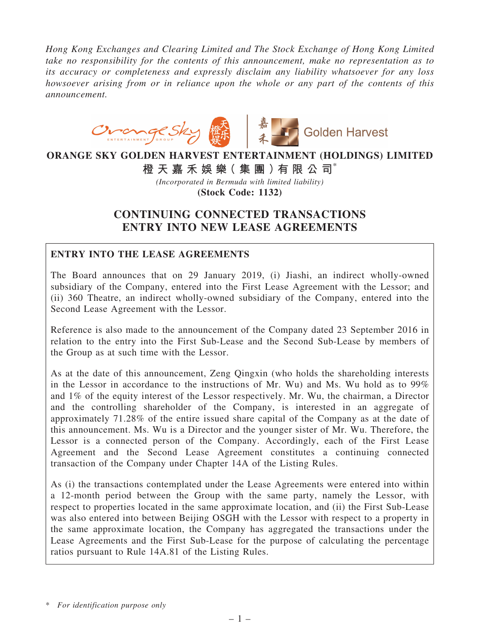*Hong Kong Exchanges and Clearing Limited and The Stock Exchange of Hong Kong Limited take no responsibility for the contents of this announcement, make no representation as to its accuracy or completeness and expressly disclaim any liability whatsoever for any loss howsoever arising from or in reliance upon the whole or any part of the contents of this announcement.*



# ORANGE SKY GOLDEN HARVEST ENTERTAINMENT (HOLDINGS) LIMITED

橙 天 嘉 禾 娛 樂 (集 團 ) 有 限 公 司 $^*$ 

*(Incorporated in Bermuda with limited liability)* (Stock Code: 1132)

# CONTINUING CONNECTED TRANSACTIONS ENTRY INTO NEW LEASE AGREEMENTS

# ENTRY INTO THE LEASE AGREEMENTS

The Board announces that on 29 January 2019, (i) Jiashi, an indirect wholly-owned subsidiary of the Company, entered into the First Lease Agreement with the Lessor; and (ii) 360 Theatre, an indirect wholly-owned subsidiary of the Company, entered into the Second Lease Agreement with the Lessor.

Reference is also made to the announcement of the Company dated 23 September 2016 in relation to the entry into the First Sub-Lease and the Second Sub-Lease by members of the Group as at such time with the Lessor.

As at the date of this announcement, Zeng Qingxin (who holds the shareholding interests in the Lessor in accordance to the instructions of Mr. Wu) and Ms. Wu hold as to 99% and 1% of the equity interest of the Lessor respectively. Mr. Wu, the chairman, a Director and the controlling shareholder of the Company, is interested in an aggregate of approximately 71.28% of the entire issued share capital of the Company as at the date of this announcement. Ms. Wu is a Director and the younger sister of Mr. Wu. Therefore, the Lessor is a connected person of the Company. Accordingly, each of the First Lease Agreement and the Second Lease Agreement constitutes a continuing connected transaction of the Company under Chapter 14A of the Listing Rules.

As (i) the transactions contemplated under the Lease Agreements were entered into within a 12-month period between the Group with the same party, namely the Lessor, with respect to properties located in the same approximate location, and (ii) the First Sub-Lease was also entered into between Beijing OSGH with the Lessor with respect to a property in the same approximate location, the Company has aggregated the transactions under the Lease Agreements and the First Sub-Lease for the purpose of calculating the percentage ratios pursuant to Rule 14A.81 of the Listing Rules.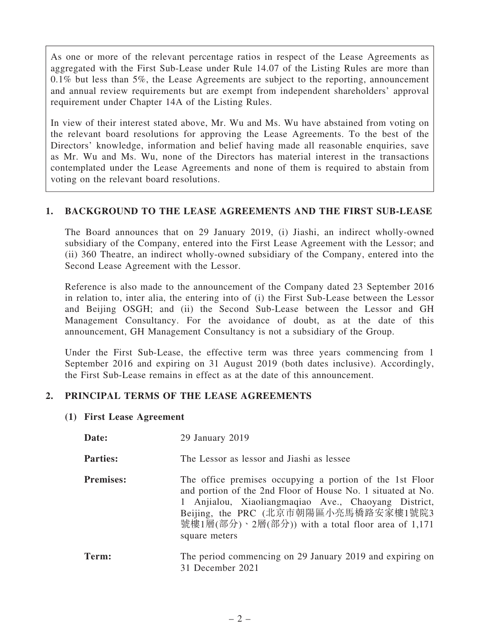As one or more of the relevant percentage ratios in respect of the Lease Agreements as aggregated with the First Sub-Lease under Rule 14.07 of the Listing Rules are more than 0.1% but less than 5%, the Lease Agreements are subject to the reporting, announcement and annual review requirements but are exempt from independent shareholders' approval requirement under Chapter 14A of the Listing Rules.

In view of their interest stated above, Mr. Wu and Ms. Wu have abstained from voting on the relevant board resolutions for approving the Lease Agreements. To the best of the Directors' knowledge, information and belief having made all reasonable enquiries, save as Mr. Wu and Ms. Wu, none of the Directors has material interest in the transactions contemplated under the Lease Agreements and none of them is required to abstain from voting on the relevant board resolutions.

#### 1. BACKGROUND TO THE LEASE AGREEMENTS AND THE FIRST SUB-LEASE

The Board announces that on 29 January 2019, (i) Jiashi, an indirect wholly-owned subsidiary of the Company, entered into the First Lease Agreement with the Lessor; and (ii) 360 Theatre, an indirect wholly-owned subsidiary of the Company, entered into the Second Lease Agreement with the Lessor.

Reference is also made to the announcement of the Company dated 23 September 2016 in relation to, inter alia, the entering into of (i) the First Sub-Lease between the Lessor and Beijing OSGH; and (ii) the Second Sub-Lease between the Lessor and GH Management Consultancy. For the avoidance of doubt, as at the date of this announcement, GH Management Consultancy is not a subsidiary of the Group.

Under the First Sub-Lease, the effective term was three years commencing from 1 September 2016 and expiring on 31 August 2019 (both dates inclusive). Accordingly, the First Sub-Lease remains in effect as at the date of this announcement.

# 2. PRINCIPAL TERMS OF THE LEASE AGREEMENTS

# (1) First Lease Agreement

| Date:            | 29 January 2019                                                                                                                                                                                                                                                                             |
|------------------|---------------------------------------------------------------------------------------------------------------------------------------------------------------------------------------------------------------------------------------------------------------------------------------------|
| <b>Parties:</b>  | The Lessor as lessor and Jiashi as lessee                                                                                                                                                                                                                                                   |
| <b>Premises:</b> | The office premises occupying a portion of the 1st Floor<br>and portion of the 2nd Floor of House No. 1 situated at No.<br>Anjialou, Xiaoliangmaqiao Ave., Chaoyang District,<br>Beijing, the PRC (北京市朝陽區小亮馬橋路安家樓1號院3<br>號樓1層(部分)、2層(部分)) with a total floor area of 1,171<br>square meters |
| Term:            | The period commencing on 29 January 2019 and expiring on<br>31 December 2021                                                                                                                                                                                                                |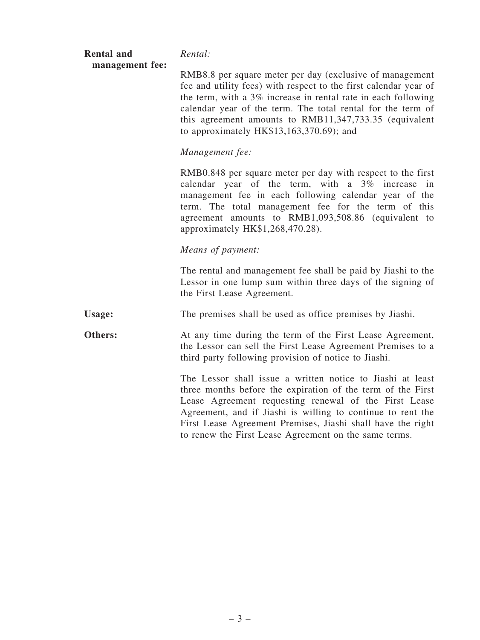| <b>Rental and</b><br>management fee: | Rental:                                                                                                                                                                                                                                                                                                                                                                   |
|--------------------------------------|---------------------------------------------------------------------------------------------------------------------------------------------------------------------------------------------------------------------------------------------------------------------------------------------------------------------------------------------------------------------------|
|                                      | RMB8.8 per square meter per day (exclusive of management<br>fee and utility fees) with respect to the first calendar year of<br>the term, with a 3% increase in rental rate in each following<br>calendar year of the term. The total rental for the term of<br>this agreement amounts to RMB11,347,733.35 (equivalent<br>to approximately $HK$13,163,370.69$ ; and       |
|                                      | Management fee:                                                                                                                                                                                                                                                                                                                                                           |
|                                      | RMB0.848 per square meter per day with respect to the first<br>calendar year of the term, with a 3% increase in<br>management fee in each following calendar year of the<br>term. The total management fee for the term of this<br>agreement amounts to RMB1,093,508.86 (equivalent to<br>approximately HK\$1,268,470.28).                                                |
|                                      | Means of payment:                                                                                                                                                                                                                                                                                                                                                         |
|                                      | The rental and management fee shall be paid by Jiashi to the<br>Lessor in one lump sum within three days of the signing of<br>the First Lease Agreement.                                                                                                                                                                                                                  |
| Usage:                               | The premises shall be used as office premises by Jiashi.                                                                                                                                                                                                                                                                                                                  |
| Others:                              | At any time during the term of the First Lease Agreement,<br>the Lessor can sell the First Lease Agreement Premises to a<br>third party following provision of notice to Jiashi.                                                                                                                                                                                          |
|                                      | The Lessor shall issue a written notice to Jiashi at least<br>three months before the expiration of the term of the First<br>Lease Agreement requesting renewal of the First Lease<br>Agreement, and if Jiashi is willing to continue to rent the<br>First Lease Agreement Premises, Jiashi shall have the right<br>to renew the First Lease Agreement on the same terms. |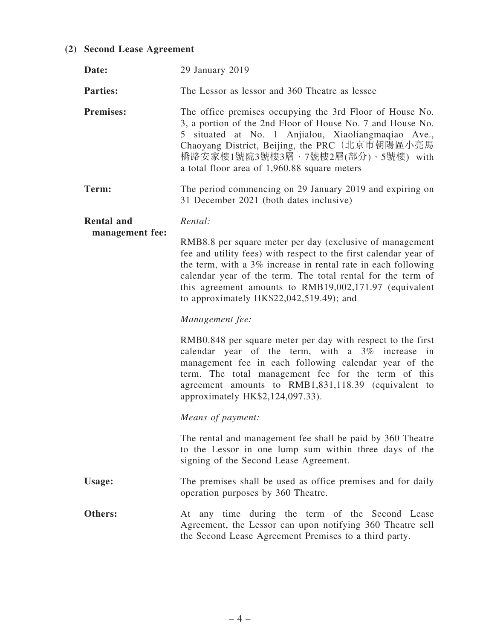# (2) Second Lease Agreement

| Date:             | 29 January 2019                                                                                                                                                                                                                                                                                                                                                     |
|-------------------|---------------------------------------------------------------------------------------------------------------------------------------------------------------------------------------------------------------------------------------------------------------------------------------------------------------------------------------------------------------------|
| <b>Parties:</b>   | The Lessor as lessor and 360 Theatre as lessee                                                                                                                                                                                                                                                                                                                      |
| <b>Premises:</b>  | The office premises occupying the 3rd Floor of House No.<br>3, a portion of the 2nd Floor of House No. 7 and House No.<br>5 situated at No. 1 Anjialou, Xiaoliangmaqiao Ave.,<br>Chaoyang District, Beijing, the PRC (北京市朝陽區小亮馬<br>橋路安家樓1號院3號樓3層,7號樓2層(部分),5號樓) with<br>a total floor area of 1,960.88 square meters                                                |
| Term:             | The period commencing on 29 January 2019 and expiring on<br>31 December 2021 (both dates inclusive)                                                                                                                                                                                                                                                                 |
| <b>Rental and</b> | Rental:                                                                                                                                                                                                                                                                                                                                                             |
| management fee:   | RMB8.8 per square meter per day (exclusive of management<br>fee and utility fees) with respect to the first calendar year of<br>the term, with a 3% increase in rental rate in each following<br>calendar year of the term. The total rental for the term of<br>this agreement amounts to RMB19,002,171.97 (equivalent<br>to approximately $HK$22,042,519.49$ ; and |
|                   | Management fee:                                                                                                                                                                                                                                                                                                                                                     |
|                   | RMB0.848 per square meter per day with respect to the first<br>calendar year of the term, with a 3% increase in<br>management fee in each following calendar year of the<br>term. The total management fee for the term of this<br>agreement amounts to RMB1,831,118.39 (equivalent to<br>approximately HK\$2,124,097.33).                                          |
|                   | Means of payment:                                                                                                                                                                                                                                                                                                                                                   |
|                   | The rental and management fee shall be paid by 360 Theatre<br>to the Lessor in one lump sum within three days of the<br>signing of the Second Lease Agreement.                                                                                                                                                                                                      |
| Usage:            | The premises shall be used as office premises and for daily<br>operation purposes by 360 Theatre.                                                                                                                                                                                                                                                                   |
| Others:           | At any time during the term of the Second Lease<br>Agreement, the Lessor can upon notifying 360 Theatre sell<br>the Second Lease Agreement Premises to a third party.                                                                                                                                                                                               |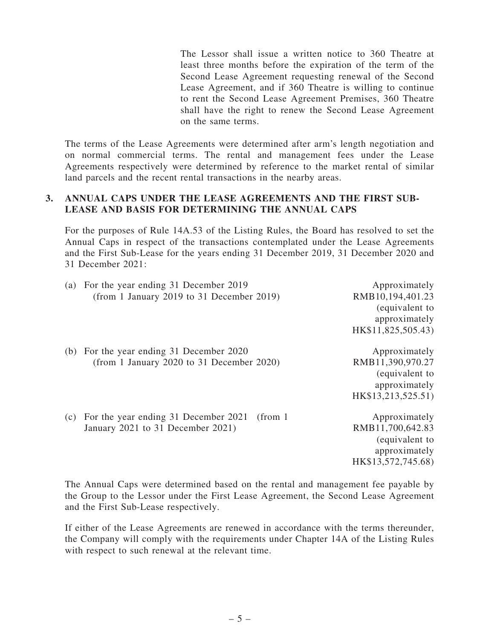The Lessor shall issue a written notice to 360 Theatre at least three months before the expiration of the term of the Second Lease Agreement requesting renewal of the Second Lease Agreement, and if 360 Theatre is willing to continue to rent the Second Lease Agreement Premises, 360 Theatre shall have the right to renew the Second Lease Agreement on the same terms.

The terms of the Lease Agreements were determined after arm's length negotiation and on normal commercial terms. The rental and management fees under the Lease Agreements respectively were determined by reference to the market rental of similar land parcels and the recent rental transactions in the nearby areas.

#### 3. ANNUAL CAPS UNDER THE LEASE AGREEMENTS AND THE FIRST SUB-LEASE AND BASIS FOR DETERMINING THE ANNUAL CAPS

For the purposes of Rule 14A.53 of the Listing Rules, the Board has resolved to set the Annual Caps in respect of the transactions contemplated under the Lease Agreements and the First Sub-Lease for the years ending 31 December 2019, 31 December 2020 and 31 December 2021:

|     | (a) For the year ending 31 December 2019<br>(from 1 January 2019 to 31 December 2019)             | Approximately<br>RMB10,194,401.23<br>(equivalent to<br>approximately                                             |
|-----|---------------------------------------------------------------------------------------------------|------------------------------------------------------------------------------------------------------------------|
| (b) | For the year ending 31 December 2020<br>(from 1 January 2020 to 31 December 2020)                 | HK\$11,825,505.43)<br>Approximately<br>RMB11,390,970.27<br>(equivalent to<br>approximately<br>HK\$13,213,525.51) |
| (c) | For the year ending 31 December 2021<br>(from <sub>1</sub> )<br>January 2021 to 31 December 2021) | Approximately<br>RMB11,700,642.83<br>(equivalent to<br>approximately<br>HK\$13,572,745.68)                       |

The Annual Caps were determined based on the rental and management fee payable by the Group to the Lessor under the First Lease Agreement, the Second Lease Agreement and the First Sub-Lease respectively.

If either of the Lease Agreements are renewed in accordance with the terms thereunder, the Company will comply with the requirements under Chapter 14A of the Listing Rules with respect to such renewal at the relevant time.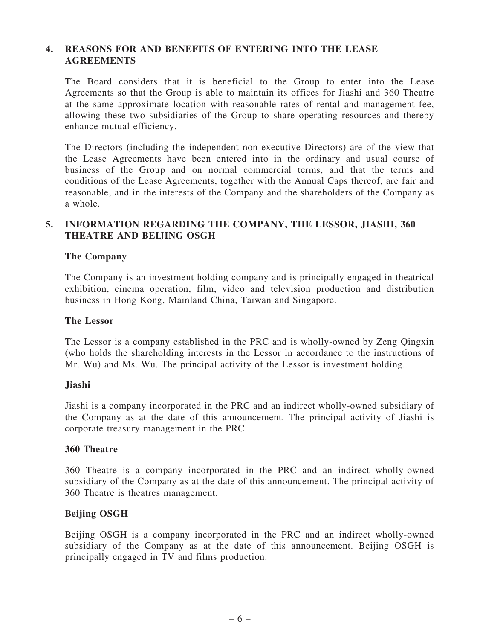## 4. REASONS FOR AND BENEFITS OF ENTERING INTO THE LEASE **AGREEMENTS**

The Board considers that it is beneficial to the Group to enter into the Lease Agreements so that the Group is able to maintain its offices for Jiashi and 360 Theatre at the same approximate location with reasonable rates of rental and management fee, allowing these two subsidiaries of the Group to share operating resources and thereby enhance mutual efficiency.

The Directors (including the independent non-executive Directors) are of the view that the Lease Agreements have been entered into in the ordinary and usual course of business of the Group and on normal commercial terms, and that the terms and conditions of the Lease Agreements, together with the Annual Caps thereof, are fair and reasonable, and in the interests of the Company and the shareholders of the Company as a whole.

## 5. INFORMATION REGARDING THE COMPANY, THE LESSOR, JIASHI, 360 THEATRE AND BEIJING OSGH

#### The Company

The Company is an investment holding company and is principally engaged in theatrical exhibition, cinema operation, film, video and television production and distribution business in Hong Kong, Mainland China, Taiwan and Singapore.

#### The Lessor

The Lessor is a company established in the PRC and is wholly-owned by Zeng Qingxin (who holds the shareholding interests in the Lessor in accordance to the instructions of Mr. Wu) and Ms. Wu. The principal activity of the Lessor is investment holding.

#### Jiashi

Jiashi is a company incorporated in the PRC and an indirect wholly-owned subsidiary of the Company as at the date of this announcement. The principal activity of Jiashi is corporate treasury management in the PRC.

#### 360 Theatre

360 Theatre is a company incorporated in the PRC and an indirect wholly-owned subsidiary of the Company as at the date of this announcement. The principal activity of 360 Theatre is theatres management.

#### Beijing OSGH

Beijing OSGH is a company incorporated in the PRC and an indirect wholly-owned subsidiary of the Company as at the date of this announcement. Beijing OSGH is principally engaged in TV and films production.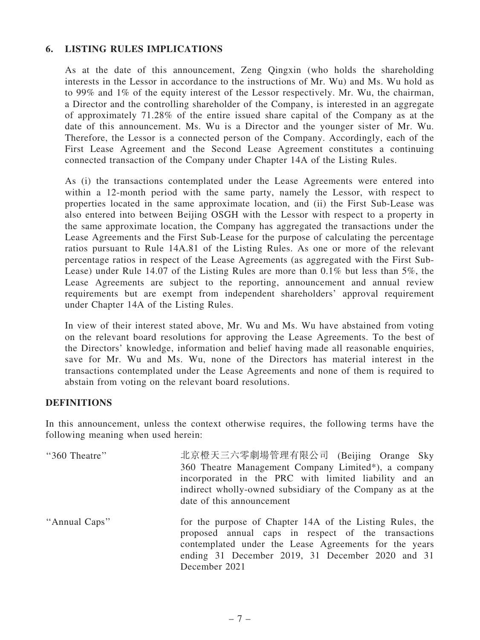# 6. LISTING RULES IMPLICATIONS

As at the date of this announcement, Zeng Qingxin (who holds the shareholding interests in the Lessor in accordance to the instructions of Mr. Wu) and Ms. Wu hold as to 99% and 1% of the equity interest of the Lessor respectively. Mr. Wu, the chairman, a Director and the controlling shareholder of the Company, is interested in an aggregate of approximately 71.28% of the entire issued share capital of the Company as at the date of this announcement. Ms. Wu is a Director and the younger sister of Mr. Wu. Therefore, the Lessor is a connected person of the Company. Accordingly, each of the First Lease Agreement and the Second Lease Agreement constitutes a continuing connected transaction of the Company under Chapter 14A of the Listing Rules.

As (i) the transactions contemplated under the Lease Agreements were entered into within a 12-month period with the same party, namely the Lessor, with respect to properties located in the same approximate location, and (ii) the First Sub-Lease was also entered into between Beijing OSGH with the Lessor with respect to a property in the same approximate location, the Company has aggregated the transactions under the Lease Agreements and the First Sub-Lease for the purpose of calculating the percentage ratios pursuant to Rule 14A.81 of the Listing Rules. As one or more of the relevant percentage ratios in respect of the Lease Agreements (as aggregated with the First Sub-Lease) under Rule 14.07 of the Listing Rules are more than 0.1% but less than 5%, the Lease Agreements are subject to the reporting, announcement and annual review requirements but are exempt from independent shareholders' approval requirement under Chapter 14A of the Listing Rules.

In view of their interest stated above, Mr. Wu and Ms. Wu have abstained from voting on the relevant board resolutions for approving the Lease Agreements. To the best of the Directors' knowledge, information and belief having made all reasonable enquiries, save for Mr. Wu and Ms. Wu, none of the Directors has material interest in the transactions contemplated under the Lease Agreements and none of them is required to abstain from voting on the relevant board resolutions.

#### DEFINITIONS

In this announcement, unless the context otherwise requires, the following terms have the following meaning when used herein:

| "360 Theatre" | 北京橙天三六零劇場管理有限公司 (Beijing Orange Sky<br>360 Theatre Management Company Limited*), a company<br>incorporated in the PRC with limited liability and an<br>indirect wholly-owned subsidiary of the Company as at the<br>date of this announcement |
|---------------|-----------------------------------------------------------------------------------------------------------------------------------------------------------------------------------------------------------------------------------------------|
| "Annual Caps" | for the purpose of Chapter 14A of the Listing Rules, the<br>proposed annual caps in respect of the transactions<br>contemplated under the Lease Agreements for the years<br>ending 31 December 2019, 31 December 2020 and 31<br>December 2021 |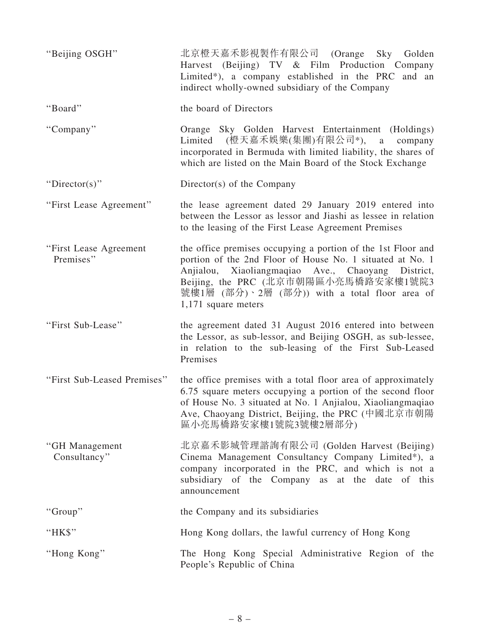| "Beijing OSGH"                      | 北京橙天嘉禾影視製作有限公司 (Orange Sky Golden<br>Harvest (Beijing) TV & Film Production Company<br>Limited*), a company established in the PRC and an<br>indirect wholly-owned subsidiary of the Company                                                                                                    |
|-------------------------------------|-------------------------------------------------------------------------------------------------------------------------------------------------------------------------------------------------------------------------------------------------------------------------------------------------|
| "Board"                             | the board of Directors                                                                                                                                                                                                                                                                          |
| "Company"                           | Orange Sky Golden Harvest Entertainment (Holdings)<br>(橙天嘉禾娛樂(集團)有限公司*),<br>Limited<br>a<br>company<br>incorporated in Bermuda with limited liability, the shares of<br>which are listed on the Main Board of the Stock Exchange                                                                |
| "Director(s)"                       | Director(s) of the Company                                                                                                                                                                                                                                                                      |
| "First Lease Agreement"             | the lease agreement dated 29 January 2019 entered into<br>between the Lessor as lessor and Jiashi as lessee in relation<br>to the leasing of the First Lease Agreement Premises                                                                                                                 |
| "First Lease Agreement<br>Premises" | the office premises occupying a portion of the 1st Floor and<br>portion of the 2nd Floor of House No. 1 situated at No. 1<br>Anjialou, Xiaoliangmaqiao Ave., Chaoyang District,<br>Beijing, the PRC (北京市朝陽區小亮馬橋路安家樓1號院3<br>號樓1層 (部分)、2層 (部分)) with a total floor area of<br>1,171 square meters |
| "First Sub-Lease"                   | the agreement dated 31 August 2016 entered into between<br>the Lessor, as sub-lessor, and Beijing OSGH, as sub-lessee,<br>in relation to the sub-leasing of the First Sub-Leased<br>Premises                                                                                                    |
| "First Sub-Leased Premises"         | the office premises with a total floor area of approximately<br>6.75 square meters occupying a portion of the second floor<br>of House No. 3 situated at No. 1 Anjialou, Xiaoliangmaqiao<br>Ave, Chaoyang District, Beijing, the PRC (中國北京市朝陽<br>區小亮馬橋路安家樓1號院3號樓2層部分)                           |
| "GH Management<br>Consultancy"      | 北京嘉禾影城管理諮詢有限公司 (Golden Harvest (Beijing)<br>Cinema Management Consultancy Company Limited*), a<br>company incorporated in the PRC, and which is not a<br>subsidiary of the Company as at the date of this<br>announcement                                                                       |
| "Group"                             | the Company and its subsidiaries                                                                                                                                                                                                                                                                |
| "HK\$"                              | Hong Kong dollars, the lawful currency of Hong Kong                                                                                                                                                                                                                                             |
| "Hong Kong"                         | The Hong Kong Special Administrative Region of the<br>People's Republic of China                                                                                                                                                                                                                |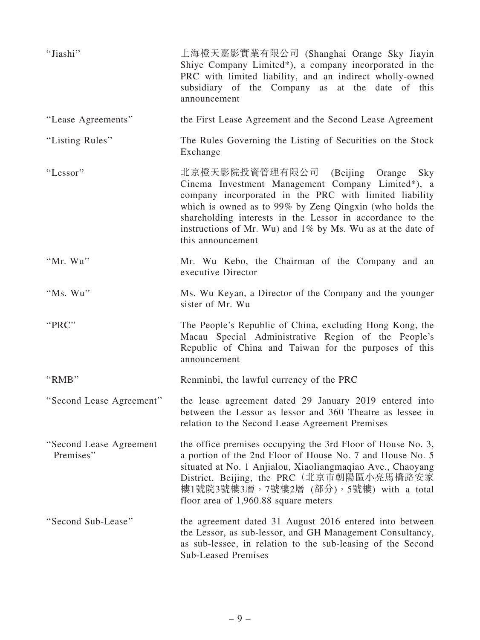| "Jiashi"                             | 上海橙天嘉影實業有限公司 (Shanghai Orange Sky Jiayin<br>Shiye Company Limited*), a company incorporated in the<br>PRC with limited liability, and an indirect wholly-owned<br>subsidiary of the Company as at the date of this<br>announcement                                                                                                                                  |
|--------------------------------------|---------------------------------------------------------------------------------------------------------------------------------------------------------------------------------------------------------------------------------------------------------------------------------------------------------------------------------------------------------------------|
| "Lease Agreements"                   | the First Lease Agreement and the Second Lease Agreement                                                                                                                                                                                                                                                                                                            |
| "Listing Rules"                      | The Rules Governing the Listing of Securities on the Stock<br>Exchange                                                                                                                                                                                                                                                                                              |
| "Lessor"                             | 北京橙天影院投資管理有限公司<br>(Beijing)<br>Orange Sky<br>Cinema Investment Management Company Limited*), a<br>company incorporated in the PRC with limited liability<br>which is owned as to 99% by Zeng Qingxin (who holds the<br>shareholding interests in the Lessor in accordance to the<br>instructions of Mr. Wu) and 1% by Ms. Wu as at the date of<br>this announcement |
| "Mr. Wu"                             | Mr. Wu Kebo, the Chairman of the Company and an<br>executive Director                                                                                                                                                                                                                                                                                               |
| "Ms. Wu"                             | Ms. Wu Keyan, a Director of the Company and the younger<br>sister of Mr. Wu                                                                                                                                                                                                                                                                                         |
| "PRC"                                | The People's Republic of China, excluding Hong Kong, the<br>Macau Special Administrative Region of the People's<br>Republic of China and Taiwan for the purposes of this<br>announcement                                                                                                                                                                            |
| "RMB"                                | Renminbi, the lawful currency of the PRC                                                                                                                                                                                                                                                                                                                            |
| "Second Lease Agreement"             | the lease agreement dated 29 January 2019 entered into<br>between the Lessor as lessor and 360 Theatre as lessee in<br>relation to the Second Lease Agreement Premises                                                                                                                                                                                              |
| "Second Lease Agreement<br>Premises" | the office premises occupying the 3rd Floor of House No. 3,<br>a portion of the 2nd Floor of House No. 7 and House No. 5<br>situated at No. 1 Anjialou, Xiaoliangmaqiao Ave., Chaoyang<br>District, Beijing, the PRC (北京市朝陽區小亮馬橋路安家)<br>樓1號院3號樓3層,7號樓2層 (部分),5號樓) with a total<br>floor area of $1,960.88$ square meters                                            |
| "Second Sub-Lease"                   | the agreement dated 31 August 2016 entered into between<br>the Lessor, as sub-lessor, and GH Management Consultancy,<br>as sub-lessee, in relation to the sub-leasing of the Second<br><b>Sub-Leased Premises</b>                                                                                                                                                   |